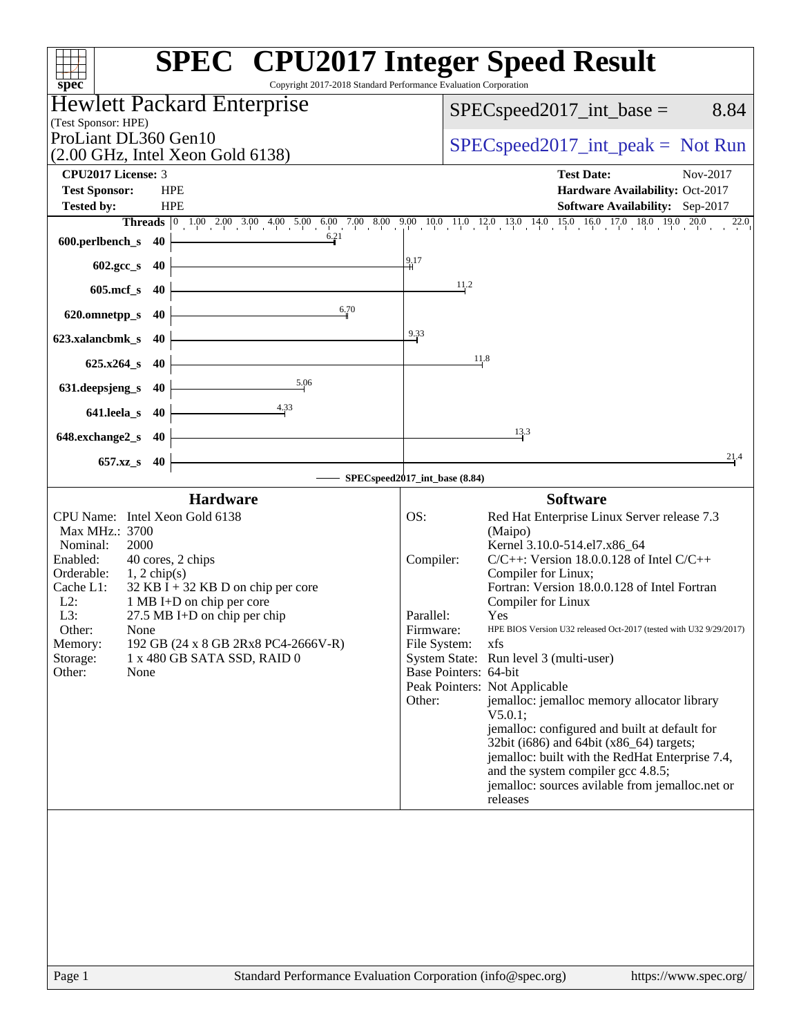|                                                                                                                                        | <b>SPEC<sup>®</sup> CPU2017 Integer Speed Result</b>                                                                         |
|----------------------------------------------------------------------------------------------------------------------------------------|------------------------------------------------------------------------------------------------------------------------------|
| Copyright 2017-2018 Standard Performance Evaluation Corporation<br>spec <sup>®</sup>                                                   |                                                                                                                              |
| <b>Hewlett Packard Enterprise</b><br>(Test Sponsor: HPE)<br>ProLiant DL360 Gen10<br>$(2.00 \text{ GHz}, \text{Intel Xeon Gold } 6138)$ | 8.84<br>$SPEC speed2017\_int\_base =$<br>$SPEC speed2017\_int\_peak = Not Run$                                               |
| <b>CPU2017 License: 3</b>                                                                                                              | <b>Test Date:</b><br>Nov-2017                                                                                                |
| <b>Test Sponsor:</b><br><b>HPE</b>                                                                                                     | Hardware Availability: Oct-2017                                                                                              |
| <b>Tested by:</b><br><b>HPE</b>                                                                                                        | Software Availability: Sep-2017                                                                                              |
|                                                                                                                                        | <b>Threads</b> 0 1.00 2.00 3.00 4.00 5.00 6.00 7.00 8.00 9.00 10.0 11.0 12.0 13.0 14.0 15.0 16.0 17.0 18.0 19.0 20.0<br>22.0 |
| 6.21<br>600.perlbench_s 40                                                                                                             |                                                                                                                              |
| 602.gcc_s<br>- 40                                                                                                                      | $\frac{9}{4}$ 17                                                                                                             |
| $605$ .mcf_s<br>40                                                                                                                     | 11,2                                                                                                                         |
| 6.70<br>620.omnetpp_s<br>-40                                                                                                           |                                                                                                                              |
| 623.xalancbmk s<br>-40                                                                                                                 | 9.33                                                                                                                         |
| $625.x264_s$<br>40                                                                                                                     | 11.8                                                                                                                         |
| 5.06<br>631.deepsjeng_s<br>40                                                                                                          |                                                                                                                              |
| $\frac{4.33}{4}$<br>641.leela_s<br>40                                                                                                  |                                                                                                                              |
| 648.exchange2_s<br>40                                                                                                                  | 13.3                                                                                                                         |
| $657.xz$ <sub>S</sub><br>40                                                                                                            | 21.4                                                                                                                         |
|                                                                                                                                        | SPECspeed2017_int_base (8.84)                                                                                                |
| <b>Hardware</b>                                                                                                                        | <b>Software</b>                                                                                                              |
| CPU Name: Intel Xeon Gold 6138<br>Max MHz.: 3700                                                                                       | OS:<br>Red Hat Enterprise Linux Server release 7.3                                                                           |
| Nominal:<br>2000                                                                                                                       | (Maipo)<br>Kernel 3.10.0-514.el7.x86_64                                                                                      |
| Enabled:<br>40 cores, 2 chips                                                                                                          | $C/C++$ : Version 18.0.0.128 of Intel $C/C++$<br>Compiler:                                                                   |
| Orderable:<br>$1, 2$ chip(s)<br>$32$ KB I + 32 KB D on chip per core<br>Cache L1:                                                      | Compiler for Linux;<br>Fortran: Version 18.0.0.128 of Intel Fortran                                                          |
| $L2$ :<br>1 MB I+D on chip per core                                                                                                    | Compiler for Linux                                                                                                           |
| L3:<br>27.5 MB I+D on chip per chip                                                                                                    | Parallel:<br>Yes                                                                                                             |
| Other:<br>None<br>192 GB (24 x 8 GB 2Rx8 PC4-2666V-R)<br>Memory:                                                                       | Firmware:<br>HPE BIOS Version U32 released Oct-2017 (tested with U32 9/29/2017)<br>File System:<br>xfs                       |
| Storage:<br>1 x 480 GB SATA SSD, RAID 0                                                                                                | System State: Run level 3 (multi-user)                                                                                       |
| Other:<br>None                                                                                                                         | Base Pointers: 64-bit                                                                                                        |
|                                                                                                                                        | Peak Pointers: Not Applicable<br>Other:<br>jemalloc: jemalloc memory allocator library                                       |
|                                                                                                                                        | V5.0.1;                                                                                                                      |
|                                                                                                                                        | jemalloc: configured and built at default for                                                                                |
|                                                                                                                                        | 32bit (i686) and 64bit (x86_64) targets;<br>jemalloc: built with the RedHat Enterprise 7.4,                                  |
|                                                                                                                                        | and the system compiler gcc 4.8.5;                                                                                           |
|                                                                                                                                        | jemalloc: sources avilable from jemalloc.net or                                                                              |
|                                                                                                                                        | releases                                                                                                                     |
|                                                                                                                                        |                                                                                                                              |
|                                                                                                                                        |                                                                                                                              |
|                                                                                                                                        |                                                                                                                              |
|                                                                                                                                        |                                                                                                                              |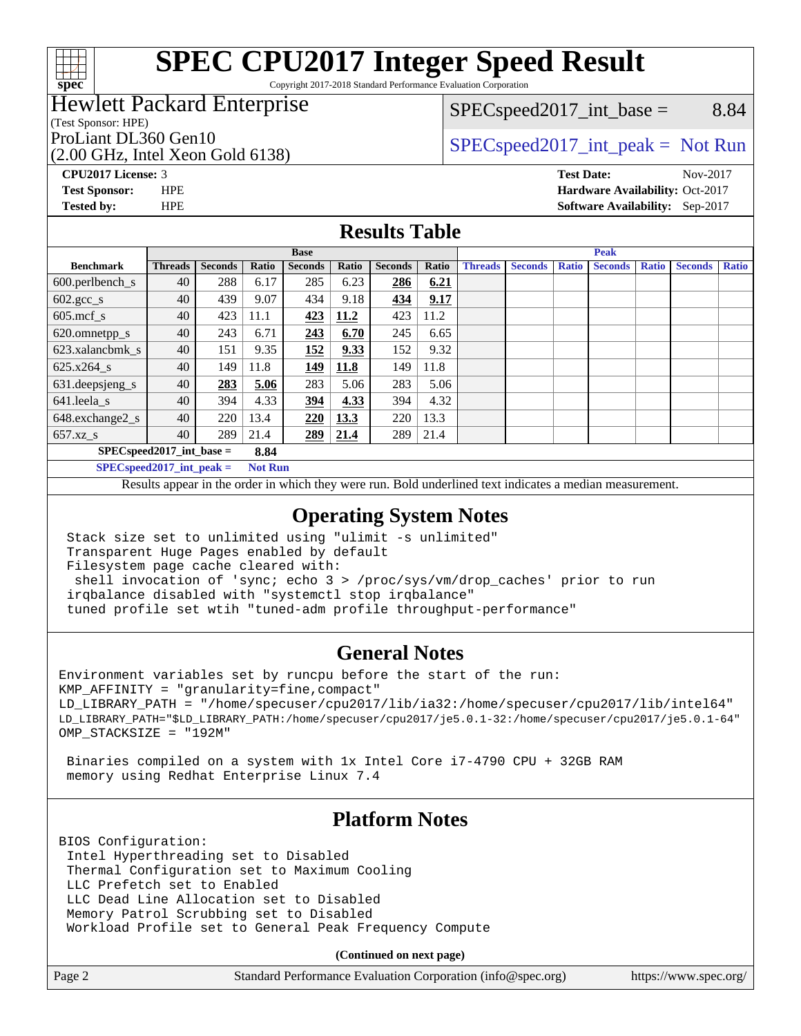

# **[SPEC CPU2017 Integer Speed Result](http://www.spec.org/auto/cpu2017/Docs/result-fields.html#SPECCPU2017IntegerSpeedResult)**

Copyright 2017-2018 Standard Performance Evaluation Corporation

### Hewlett Packard Enterprise

(Test Sponsor: HPE)

(2.00 GHz, Intel Xeon Gold 6138)

 $SPEC speed2017\_int\_base =$  8.84

### ProLiant DL360 Gen10  $SPEC speed2017\_int\_peak = Not Run$

**[Tested by:](http://www.spec.org/auto/cpu2017/Docs/result-fields.html#Testedby)** HPE **[Software Availability:](http://www.spec.org/auto/cpu2017/Docs/result-fields.html#SoftwareAvailability)** Sep-2017

**[CPU2017 License:](http://www.spec.org/auto/cpu2017/Docs/result-fields.html#CPU2017License)** 3 **[Test Date:](http://www.spec.org/auto/cpu2017/Docs/result-fields.html#TestDate)** Nov-2017 **[Test Sponsor:](http://www.spec.org/auto/cpu2017/Docs/result-fields.html#TestSponsor)** HPE **[Hardware Availability:](http://www.spec.org/auto/cpu2017/Docs/result-fields.html#HardwareAvailability)** Oct-2017

**[Results Table](http://www.spec.org/auto/cpu2017/Docs/result-fields.html#ResultsTable)**

|                                    | <b>Base</b>    |                |       |                |       | <b>Peak</b>    |       |                |                |              |                |              |                |              |
|------------------------------------|----------------|----------------|-------|----------------|-------|----------------|-------|----------------|----------------|--------------|----------------|--------------|----------------|--------------|
| <b>Benchmark</b>                   | <b>Threads</b> | <b>Seconds</b> | Ratio | <b>Seconds</b> | Ratio | <b>Seconds</b> | Ratio | <b>Threads</b> | <b>Seconds</b> | <b>Ratio</b> | <b>Seconds</b> | <b>Ratio</b> | <b>Seconds</b> | <b>Ratio</b> |
| 600.perlbench_s                    | 40             | 288            | 6.17  | 285            | 6.23  | 286            | 6.21  |                |                |              |                |              |                |              |
| $602.\text{gcc}\_\text{s}$         | 40             | 439            | 9.07  | 434            | 9.18  | 434            | 9.17  |                |                |              |                |              |                |              |
| $605$ .mcf s                       | 40             | 423            | 11.1  | 423            | 11.2  | 423            | 11.2  |                |                |              |                |              |                |              |
| 620.omnetpp_s                      | 40             | 243            | 6.71  | 243            | 6.70  | 245            | 6.65  |                |                |              |                |              |                |              |
| 623.xalancbmk s                    | 40             | 151            | 9.35  | 152            | 9.33  | 152            | 9.32  |                |                |              |                |              |                |              |
| $625.x264_s$                       | 40             | 149            | 11.8  | <u>149</u>     | 11.8  | 149            | 11.8  |                |                |              |                |              |                |              |
| 631.deepsjeng_s                    | 40             | 283            | 5.06  | 283            | 5.06  | 283            | 5.06  |                |                |              |                |              |                |              |
| 641.leela s                        | 40             | 394            | 4.33  | 394            | 4.33  | 394            | 4.32  |                |                |              |                |              |                |              |
| 648.exchange2_s                    | 40             | 220            | 13.4  | 220            | 13.3  | 220            | 13.3  |                |                |              |                |              |                |              |
| $657.xz$ s                         | 40             | 289            | 21.4  | 289            | 21.4  | 289            | 21.4  |                |                |              |                |              |                |              |
| $SPECspeed2017$ int base =<br>8.84 |                |                |       |                |       |                |       |                |                |              |                |              |                |              |

**[SPECspeed2017\\_int\\_peak =](http://www.spec.org/auto/cpu2017/Docs/result-fields.html#SPECspeed2017intpeak) Not Run**

Results appear in the [order in which they were run.](http://www.spec.org/auto/cpu2017/Docs/result-fields.html#RunOrder) Bold underlined text [indicates a median measurement.](http://www.spec.org/auto/cpu2017/Docs/result-fields.html#Median)

#### **[Operating System Notes](http://www.spec.org/auto/cpu2017/Docs/result-fields.html#OperatingSystemNotes)**

 Stack size set to unlimited using "ulimit -s unlimited" Transparent Huge Pages enabled by default Filesystem page cache cleared with: shell invocation of 'sync; echo 3 > /proc/sys/vm/drop\_caches' prior to run irqbalance disabled with "systemctl stop irqbalance"

tuned profile set wtih "tuned-adm profile throughput-performance"

#### **[General Notes](http://www.spec.org/auto/cpu2017/Docs/result-fields.html#GeneralNotes)**

Environment variables set by runcpu before the start of the run: KMP\_AFFINITY = "granularity=fine,compact" LD\_LIBRARY\_PATH = "/home/specuser/cpu2017/lib/ia32:/home/specuser/cpu2017/lib/intel64" LD\_LIBRARY\_PATH="\$LD\_LIBRARY\_PATH:/home/specuser/cpu2017/je5.0.1-32:/home/specuser/cpu2017/je5.0.1-64" OMP\_STACKSIZE = "192M"

 Binaries compiled on a system with 1x Intel Core i7-4790 CPU + 32GB RAM memory using Redhat Enterprise Linux 7.4

#### **[Platform Notes](http://www.spec.org/auto/cpu2017/Docs/result-fields.html#PlatformNotes)**

BIOS Configuration: Intel Hyperthreading set to Disabled Thermal Configuration set to Maximum Cooling LLC Prefetch set to Enabled LLC Dead Line Allocation set to Disabled Memory Patrol Scrubbing set to Disabled Workload Profile set to General Peak Frequency Compute

**(Continued on next page)**

| Page 2<br>Standard Performance Evaluation Corporation (info@spec.org) | https://www.spec.org/ |
|-----------------------------------------------------------------------|-----------------------|
|-----------------------------------------------------------------------|-----------------------|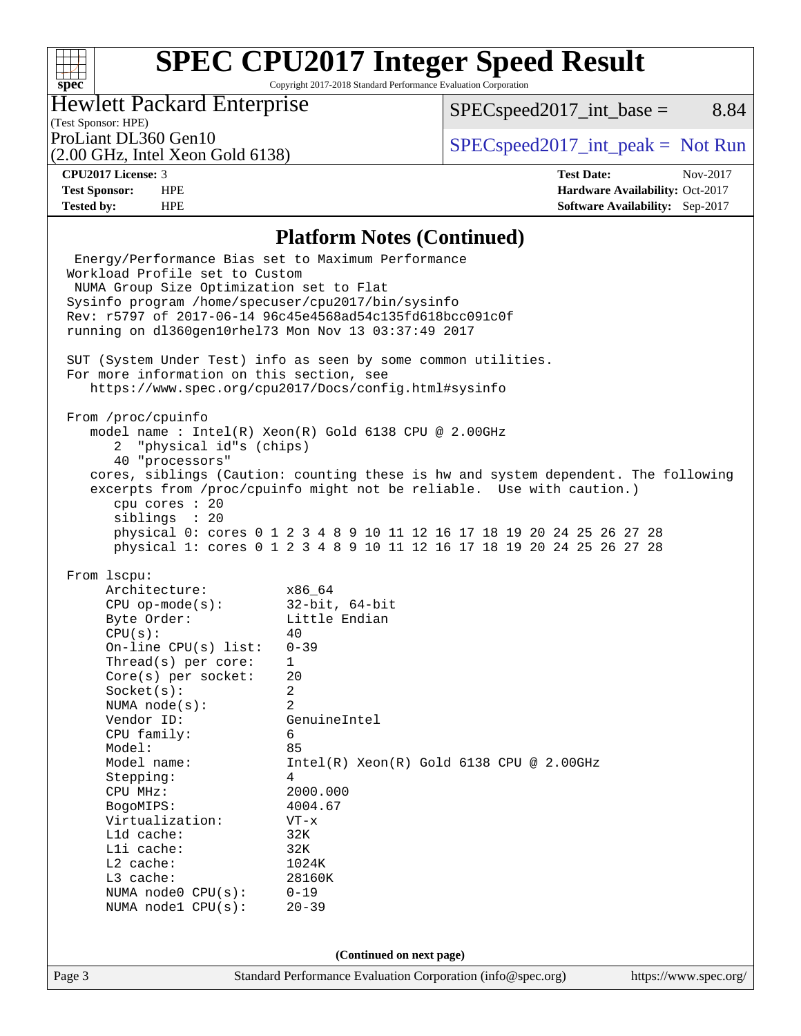#### $+\!\!+\!\!$ **[spec](http://www.spec.org/)**

# **[SPEC CPU2017 Integer Speed Result](http://www.spec.org/auto/cpu2017/Docs/result-fields.html#SPECCPU2017IntegerSpeedResult)**

Copyright 2017-2018 Standard Performance Evaluation Corporation

### Hewlett Packard Enterprise

 $SPEC speed2017\_int\_base =$  8.84

### (Test Sponsor: HPE)

(2.00 GHz, Intel Xeon Gold 6138)

ProLiant DL360 Gen10  $SPEC speed2017\_int\_peak = Not Run$ 

**[Tested by:](http://www.spec.org/auto/cpu2017/Docs/result-fields.html#Testedby)** HPE **[Software Availability:](http://www.spec.org/auto/cpu2017/Docs/result-fields.html#SoftwareAvailability)** Sep-2017

**[CPU2017 License:](http://www.spec.org/auto/cpu2017/Docs/result-fields.html#CPU2017License)** 3 **[Test Date:](http://www.spec.org/auto/cpu2017/Docs/result-fields.html#TestDate)** Nov-2017 **[Test Sponsor:](http://www.spec.org/auto/cpu2017/Docs/result-fields.html#TestSponsor)** HPE **[Hardware Availability:](http://www.spec.org/auto/cpu2017/Docs/result-fields.html#HardwareAvailability)** Oct-2017

#### **[Platform Notes \(Continued\)](http://www.spec.org/auto/cpu2017/Docs/result-fields.html#PlatformNotes)**

Page 3 Standard Performance Evaluation Corporation [\(info@spec.org\)](mailto:info@spec.org) <https://www.spec.org/> Energy/Performance Bias set to Maximum Performance Workload Profile set to Custom NUMA Group Size Optimization set to Flat Sysinfo program /home/specuser/cpu2017/bin/sysinfo Rev: r5797 of 2017-06-14 96c45e4568ad54c135fd618bcc091c0f running on dl360gen10rhel73 Mon Nov 13 03:37:49 2017 SUT (System Under Test) info as seen by some common utilities. For more information on this section, see <https://www.spec.org/cpu2017/Docs/config.html#sysinfo> From /proc/cpuinfo model name : Intel(R) Xeon(R) Gold 6138 CPU @ 2.00GHz 2 "physical id"s (chips) 40 "processors" cores, siblings (Caution: counting these is hw and system dependent. The following excerpts from /proc/cpuinfo might not be reliable. Use with caution.) cpu cores : 20 siblings : 20 physical 0: cores 0 1 2 3 4 8 9 10 11 12 16 17 18 19 20 24 25 26 27 28 physical 1: cores 0 1 2 3 4 8 9 10 11 12 16 17 18 19 20 24 25 26 27 28 From lscpu: Architecture: x86\_64 CPU op-mode(s): 32-bit, 64-bit Byte Order: Little Endian  $CPU(s):$  40 On-line CPU(s) list: 0-39 Thread(s) per core: 1 Core(s) per socket: 20 Socket(s): 2 NUMA node(s): 2 Vendor ID: GenuineIntel CPU family: 6 Model: 85 Model name: Intel(R) Xeon(R) Gold 6138 CPU @ 2.00GHz Stepping: 4 CPU MHz: 2000.000 BogoMIPS: 4004.67 Virtualization: VT-x L1d cache: 32K L1i cache: 32K L2 cache: 1024K L3 cache: 28160K NUMA node0 CPU(s): 0-19 NUMA node1 CPU(s): 20-39 **(Continued on next page)**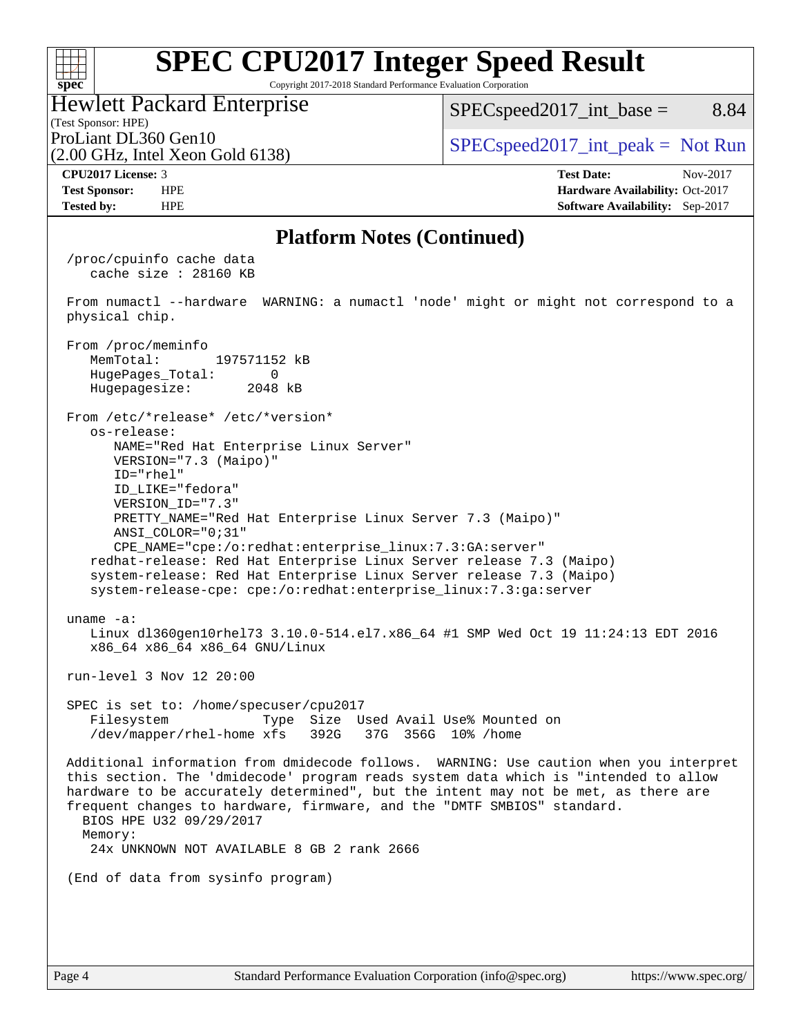#### **[SPEC CPU2017 Integer Speed Result](http://www.spec.org/auto/cpu2017/Docs/result-fields.html#SPECCPU2017IntegerSpeedResult)**  $+\ +$ **[spec](http://www.spec.org/)** Copyright 2017-2018 Standard Performance Evaluation Corporation Hewlett Packard Enterprise  $SPEC speed2017\_int\_base =$  8.84 (Test Sponsor: HPE) ProLiant DL360 Gen10  $SPEC speed2017\_int\_peak = Not Run$ (2.00 GHz, Intel Xeon Gold 6138) **[CPU2017 License:](http://www.spec.org/auto/cpu2017/Docs/result-fields.html#CPU2017License)** 3 **[Test Date:](http://www.spec.org/auto/cpu2017/Docs/result-fields.html#TestDate)** Nov-2017 **[Test Sponsor:](http://www.spec.org/auto/cpu2017/Docs/result-fields.html#TestSponsor)** HPE **[Hardware Availability:](http://www.spec.org/auto/cpu2017/Docs/result-fields.html#HardwareAvailability)** Oct-2017 **[Tested by:](http://www.spec.org/auto/cpu2017/Docs/result-fields.html#Testedby)** HPE **[Software Availability:](http://www.spec.org/auto/cpu2017/Docs/result-fields.html#SoftwareAvailability)** Sep-2017 **[Platform Notes \(Continued\)](http://www.spec.org/auto/cpu2017/Docs/result-fields.html#PlatformNotes)** /proc/cpuinfo cache data cache size : 28160 KB From numactl --hardware WARNING: a numactl 'node' might or might not correspond to a physical chip. From /proc/meminfo MemTotal: 197571152 kB HugePages\_Total: 0<br>Hugepagesize: 2048 kB Hugepagesize: From /etc/\*release\* /etc/\*version\* os-release: NAME="Red Hat Enterprise Linux Server" VERSION="7.3 (Maipo)" ID="rhel" ID\_LIKE="fedora" VERSION\_ID="7.3" PRETTY\_NAME="Red Hat Enterprise Linux Server 7.3 (Maipo)" ANSI\_COLOR="0;31" CPE\_NAME="cpe:/o:redhat:enterprise\_linux:7.3:GA:server" redhat-release: Red Hat Enterprise Linux Server release 7.3 (Maipo) system-release: Red Hat Enterprise Linux Server release 7.3 (Maipo) system-release-cpe: cpe:/o:redhat:enterprise\_linux:7.3:ga:server uname -a: Linux dl360gen10rhel73 3.10.0-514.el7.x86\_64 #1 SMP Wed Oct 19 11:24:13 EDT 2016 x86\_64 x86\_64 x86\_64 GNU/Linux run-level 3 Nov 12 20:00 SPEC is set to: /home/specuser/cpu2017 Filesystem Type Size Used Avail Use% Mounted on /dev/mapper/rhel-home xfs 392G 37G 356G 10% /home Additional information from dmidecode follows. WARNING: Use caution when you interpret this section. The 'dmidecode' program reads system data which is "intended to allow hardware to be accurately determined", but the intent may not be met, as there are frequent changes to hardware, firmware, and the "DMTF SMBIOS" standard. BIOS HPE U32 09/29/2017 Memory: 24x UNKNOWN NOT AVAILABLE 8 GB 2 rank 2666 (End of data from sysinfo program)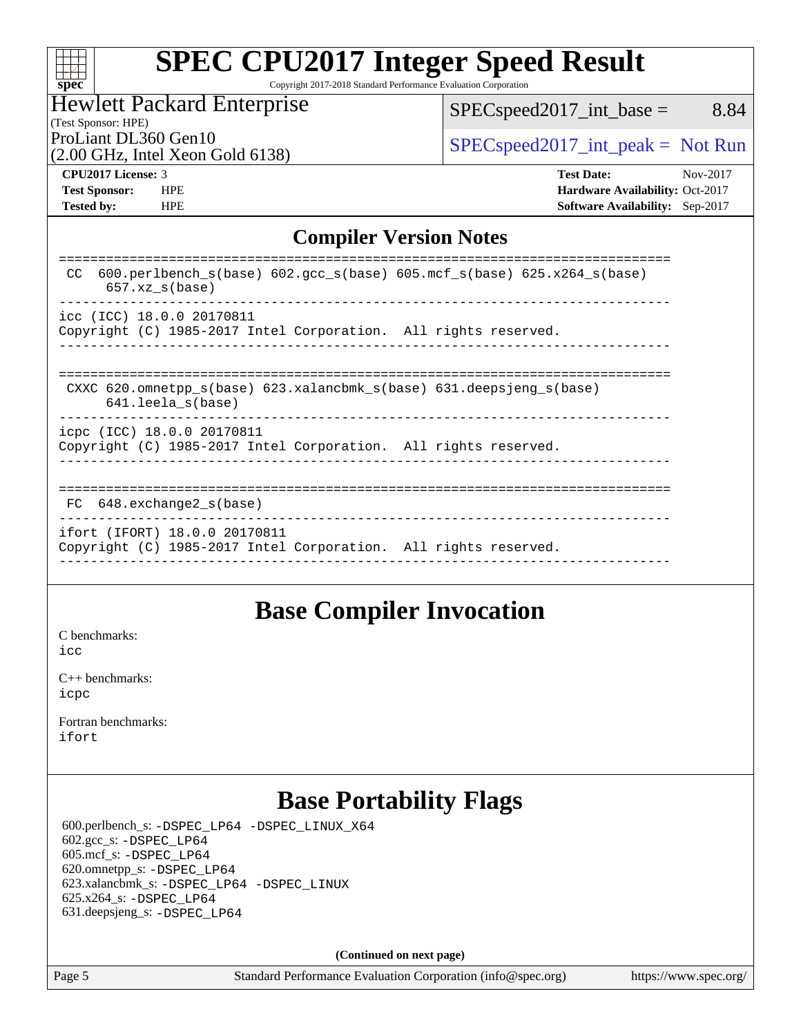| spe |  |  |  |  |
|-----|--|--|--|--|

# **[SPEC CPU2017 Integer Speed Result](http://www.spec.org/auto/cpu2017/Docs/result-fields.html#SPECCPU2017IntegerSpeedResult)**

Copyright 2017-2018 Standard Performance Evaluation Corporation

#### Hewlett Packard Enterprise

[SPECspeed2017\\_int\\_base =](http://www.spec.org/auto/cpu2017/Docs/result-fields.html#SPECspeed2017intbase) 8.84

(Test Sponsor: HPE) (2.00 GHz, Intel Xeon Gold 6138)

ProLiant DL360 Gen10  $SPEC speed2017\_int\_peak = Not Run$ 

**[Tested by:](http://www.spec.org/auto/cpu2017/Docs/result-fields.html#Testedby)** HPE **[Software Availability:](http://www.spec.org/auto/cpu2017/Docs/result-fields.html#SoftwareAvailability)** Sep-2017

**[CPU2017 License:](http://www.spec.org/auto/cpu2017/Docs/result-fields.html#CPU2017License)** 3 **[Test Date:](http://www.spec.org/auto/cpu2017/Docs/result-fields.html#TestDate)** Nov-2017 **[Test Sponsor:](http://www.spec.org/auto/cpu2017/Docs/result-fields.html#TestSponsor)** HPE **[Hardware Availability:](http://www.spec.org/auto/cpu2017/Docs/result-fields.html#HardwareAvailability)** Oct-2017

### **[Compiler Version Notes](http://www.spec.org/auto/cpu2017/Docs/result-fields.html#CompilerVersionNotes)**

| 600.perlbench $s(base)$ 602.qcc $s(base)$ 605.mcf $s(base)$ 625.x264 $s(base)$<br>CC.<br>$657.xz$ s(base) |
|-----------------------------------------------------------------------------------------------------------|
| icc (ICC) 18.0.0 20170811<br>Copyright (C) 1985-2017 Intel Corporation. All rights reserved.              |
| CXXC 620. omnetpp $s(base)$ 623. xalancbmk $s(base)$ 631. deepsjeng $s(base)$<br>$641.$ leela $s(base)$   |
| icpc (ICC) 18.0.0 20170811<br>Copyright (C) 1985-2017 Intel Corporation. All rights reserved.             |
| FC 648. exchange2 s(base)                                                                                 |
| ifort (IFORT) 18.0.0 20170811<br>Copyright (C) 1985-2017 Intel Corporation. All rights reserved.          |

### **[Base Compiler Invocation](http://www.spec.org/auto/cpu2017/Docs/result-fields.html#BaseCompilerInvocation)**

[C benchmarks](http://www.spec.org/auto/cpu2017/Docs/result-fields.html#Cbenchmarks): [icc](http://www.spec.org/cpu2017/results/res2017q4/cpu2017-20171114-00799.flags.html#user_CCbase_intel_icc_18.0_66fc1ee009f7361af1fbd72ca7dcefbb700085f36577c54f309893dd4ec40d12360134090235512931783d35fd58c0460139e722d5067c5574d8eaf2b3e37e92)

[C++ benchmarks:](http://www.spec.org/auto/cpu2017/Docs/result-fields.html#CXXbenchmarks) [icpc](http://www.spec.org/cpu2017/results/res2017q4/cpu2017-20171114-00799.flags.html#user_CXXbase_intel_icpc_18.0_c510b6838c7f56d33e37e94d029a35b4a7bccf4766a728ee175e80a419847e808290a9b78be685c44ab727ea267ec2f070ec5dc83b407c0218cded6866a35d07)

[Fortran benchmarks](http://www.spec.org/auto/cpu2017/Docs/result-fields.html#Fortranbenchmarks): [ifort](http://www.spec.org/cpu2017/results/res2017q4/cpu2017-20171114-00799.flags.html#user_FCbase_intel_ifort_18.0_8111460550e3ca792625aed983ce982f94888b8b503583aa7ba2b8303487b4d8a21a13e7191a45c5fd58ff318f48f9492884d4413fa793fd88dd292cad7027ca)

## **[Base Portability Flags](http://www.spec.org/auto/cpu2017/Docs/result-fields.html#BasePortabilityFlags)**

 600.perlbench\_s: [-DSPEC\\_LP64](http://www.spec.org/cpu2017/results/res2017q4/cpu2017-20171114-00799.flags.html#b600.perlbench_s_basePORTABILITY_DSPEC_LP64) [-DSPEC\\_LINUX\\_X64](http://www.spec.org/cpu2017/results/res2017q4/cpu2017-20171114-00799.flags.html#b600.perlbench_s_baseCPORTABILITY_DSPEC_LINUX_X64) 602.gcc\_s: [-DSPEC\\_LP64](http://www.spec.org/cpu2017/results/res2017q4/cpu2017-20171114-00799.flags.html#suite_basePORTABILITY602_gcc_s_DSPEC_LP64) 605.mcf\_s: [-DSPEC\\_LP64](http://www.spec.org/cpu2017/results/res2017q4/cpu2017-20171114-00799.flags.html#suite_basePORTABILITY605_mcf_s_DSPEC_LP64) 620.omnetpp\_s: [-DSPEC\\_LP64](http://www.spec.org/cpu2017/results/res2017q4/cpu2017-20171114-00799.flags.html#suite_basePORTABILITY620_omnetpp_s_DSPEC_LP64) 623.xalancbmk\_s: [-DSPEC\\_LP64](http://www.spec.org/cpu2017/results/res2017q4/cpu2017-20171114-00799.flags.html#suite_basePORTABILITY623_xalancbmk_s_DSPEC_LP64) [-DSPEC\\_LINUX](http://www.spec.org/cpu2017/results/res2017q4/cpu2017-20171114-00799.flags.html#b623.xalancbmk_s_baseCXXPORTABILITY_DSPEC_LINUX) 625.x264\_s: [-DSPEC\\_LP64](http://www.spec.org/cpu2017/results/res2017q4/cpu2017-20171114-00799.flags.html#suite_basePORTABILITY625_x264_s_DSPEC_LP64) 631.deepsjeng\_s: [-DSPEC\\_LP64](http://www.spec.org/cpu2017/results/res2017q4/cpu2017-20171114-00799.flags.html#suite_basePORTABILITY631_deepsjeng_s_DSPEC_LP64)

**(Continued on next page)**

Page 5 Standard Performance Evaluation Corporation [\(info@spec.org\)](mailto:info@spec.org) <https://www.spec.org/>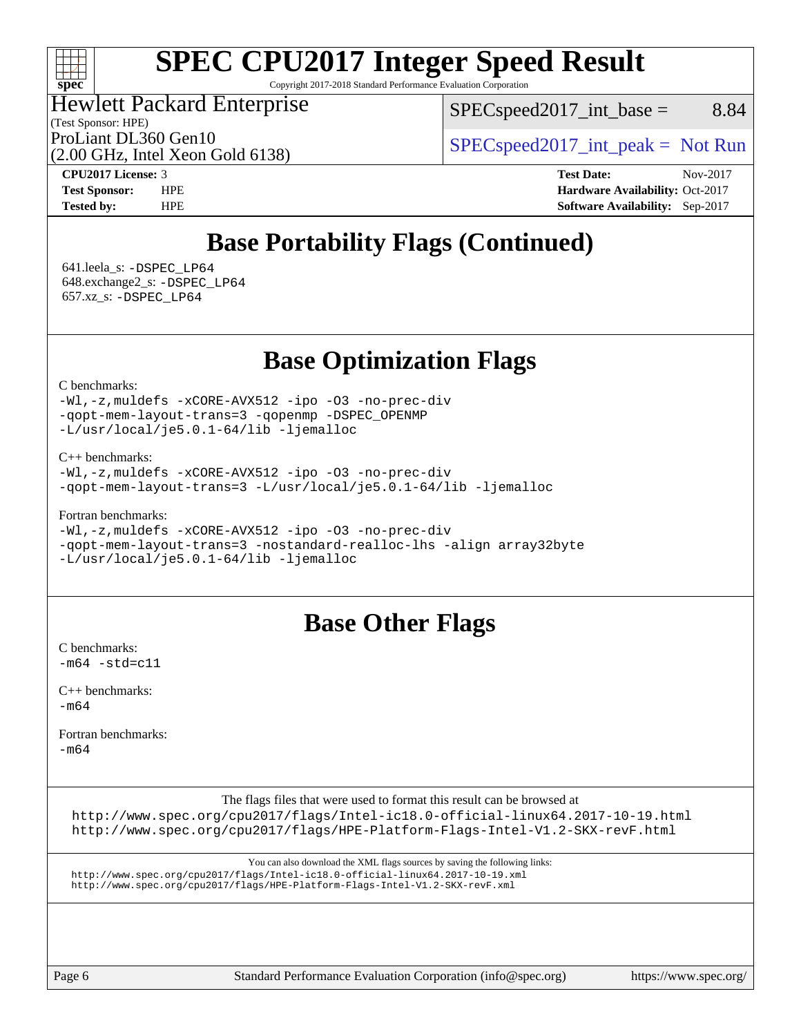#### $\pm\pm\prime$ **[spec](http://www.spec.org/)**

# **[SPEC CPU2017 Integer Speed Result](http://www.spec.org/auto/cpu2017/Docs/result-fields.html#SPECCPU2017IntegerSpeedResult)**

Copyright 2017-2018 Standard Performance Evaluation Corporation

### Hewlett Packard Enterprise

(Test Sponsor: HPE)

 $SPEC speed2017\_int\_base =$  8.84

ProLiant DL360 Gen10  $SPEC speed2017\_int\_peak = Not Run$ 

(2.00 GHz, Intel Xeon Gold 6138)

**[CPU2017 License:](http://www.spec.org/auto/cpu2017/Docs/result-fields.html#CPU2017License)** 3 **[Test Date:](http://www.spec.org/auto/cpu2017/Docs/result-fields.html#TestDate)** Nov-2017 **[Test Sponsor:](http://www.spec.org/auto/cpu2017/Docs/result-fields.html#TestSponsor)** HPE **[Hardware Availability:](http://www.spec.org/auto/cpu2017/Docs/result-fields.html#HardwareAvailability)** Oct-2017 **[Tested by:](http://www.spec.org/auto/cpu2017/Docs/result-fields.html#Testedby)** HPE **[Software Availability:](http://www.spec.org/auto/cpu2017/Docs/result-fields.html#SoftwareAvailability)** Sep-2017

## **[Base Portability Flags \(Continued\)](http://www.spec.org/auto/cpu2017/Docs/result-fields.html#BasePortabilityFlags)**

 641.leela\_s: [-DSPEC\\_LP64](http://www.spec.org/cpu2017/results/res2017q4/cpu2017-20171114-00799.flags.html#suite_basePORTABILITY641_leela_s_DSPEC_LP64) 648.exchange2\_s: [-DSPEC\\_LP64](http://www.spec.org/cpu2017/results/res2017q4/cpu2017-20171114-00799.flags.html#suite_basePORTABILITY648_exchange2_s_DSPEC_LP64) 657.xz\_s: [-DSPEC\\_LP64](http://www.spec.org/cpu2017/results/res2017q4/cpu2017-20171114-00799.flags.html#suite_basePORTABILITY657_xz_s_DSPEC_LP64)

### **[Base Optimization Flags](http://www.spec.org/auto/cpu2017/Docs/result-fields.html#BaseOptimizationFlags)**

[C benchmarks](http://www.spec.org/auto/cpu2017/Docs/result-fields.html#Cbenchmarks):

[-Wl,-z,muldefs](http://www.spec.org/cpu2017/results/res2017q4/cpu2017-20171114-00799.flags.html#user_CCbase_link_force_multiple1_b4cbdb97b34bdee9ceefcfe54f4c8ea74255f0b02a4b23e853cdb0e18eb4525ac79b5a88067c842dd0ee6996c24547a27a4b99331201badda8798ef8a743f577) [-xCORE-AVX512](http://www.spec.org/cpu2017/results/res2017q4/cpu2017-20171114-00799.flags.html#user_CCbase_f-xCORE-AVX512) [-ipo](http://www.spec.org/cpu2017/results/res2017q4/cpu2017-20171114-00799.flags.html#user_CCbase_f-ipo) [-O3](http://www.spec.org/cpu2017/results/res2017q4/cpu2017-20171114-00799.flags.html#user_CCbase_f-O3) [-no-prec-div](http://www.spec.org/cpu2017/results/res2017q4/cpu2017-20171114-00799.flags.html#user_CCbase_f-no-prec-div) [-qopt-mem-layout-trans=3](http://www.spec.org/cpu2017/results/res2017q4/cpu2017-20171114-00799.flags.html#user_CCbase_f-qopt-mem-layout-trans_de80db37974c74b1f0e20d883f0b675c88c3b01e9d123adea9b28688d64333345fb62bc4a798493513fdb68f60282f9a726aa07f478b2f7113531aecce732043) [-qopenmp](http://www.spec.org/cpu2017/results/res2017q4/cpu2017-20171114-00799.flags.html#user_CCbase_qopenmp_16be0c44f24f464004c6784a7acb94aca937f053568ce72f94b139a11c7c168634a55f6653758ddd83bcf7b8463e8028bb0b48b77bcddc6b78d5d95bb1df2967) [-DSPEC\\_OPENMP](http://www.spec.org/cpu2017/results/res2017q4/cpu2017-20171114-00799.flags.html#suite_CCbase_DSPEC_OPENMP) [-L/usr/local/je5.0.1-64/lib](http://www.spec.org/cpu2017/results/res2017q4/cpu2017-20171114-00799.flags.html#user_CCbase_jemalloc_link_path64_4b10a636b7bce113509b17f3bd0d6226c5fb2346b9178c2d0232c14f04ab830f976640479e5c33dc2bcbbdad86ecfb6634cbbd4418746f06f368b512fced5394) [-ljemalloc](http://www.spec.org/cpu2017/results/res2017q4/cpu2017-20171114-00799.flags.html#user_CCbase_jemalloc_link_lib_d1249b907c500fa1c0672f44f562e3d0f79738ae9e3c4a9c376d49f265a04b9c99b167ecedbf6711b3085be911c67ff61f150a17b3472be731631ba4d0471706)

[C++ benchmarks:](http://www.spec.org/auto/cpu2017/Docs/result-fields.html#CXXbenchmarks)

```
-Wl,-z,muldefs -xCORE-AVX512 -ipo -O3 -no-prec-div
-qopt-mem-layout-trans=3 -L/usr/local/je5.0.1-64/lib -ljemalloc
```
[Fortran benchmarks](http://www.spec.org/auto/cpu2017/Docs/result-fields.html#Fortranbenchmarks):

```
-Wl,-z,muldefs -xCORE-AVX512 -ipo -O3 -no-prec-div
-qopt-mem-layout-trans=3 -nostandard-realloc-lhs -align array32byte
-L/usr/local/je5.0.1-64/lib -ljemalloc
```
### **[Base Other Flags](http://www.spec.org/auto/cpu2017/Docs/result-fields.html#BaseOtherFlags)**

[C benchmarks](http://www.spec.org/auto/cpu2017/Docs/result-fields.html#Cbenchmarks):  $-m64 - std = c11$  $-m64 - std = c11$ 

[C++ benchmarks:](http://www.spec.org/auto/cpu2017/Docs/result-fields.html#CXXbenchmarks)  $-m64$ 

[Fortran benchmarks](http://www.spec.org/auto/cpu2017/Docs/result-fields.html#Fortranbenchmarks):

[-m64](http://www.spec.org/cpu2017/results/res2017q4/cpu2017-20171114-00799.flags.html#user_FCbase_intel_intel64_18.0_af43caccfc8ded86e7699f2159af6efc7655f51387b94da716254467f3c01020a5059329e2569e4053f409e7c9202a7efc638f7a6d1ffb3f52dea4a3e31d82ab)

The flags files that were used to format this result can be browsed at

<http://www.spec.org/cpu2017/flags/Intel-ic18.0-official-linux64.2017-10-19.html> <http://www.spec.org/cpu2017/flags/HPE-Platform-Flags-Intel-V1.2-SKX-revF.html>

You can also download the XML flags sources by saving the following links: <http://www.spec.org/cpu2017/flags/Intel-ic18.0-official-linux64.2017-10-19.xml> <http://www.spec.org/cpu2017/flags/HPE-Platform-Flags-Intel-V1.2-SKX-revF.xml>